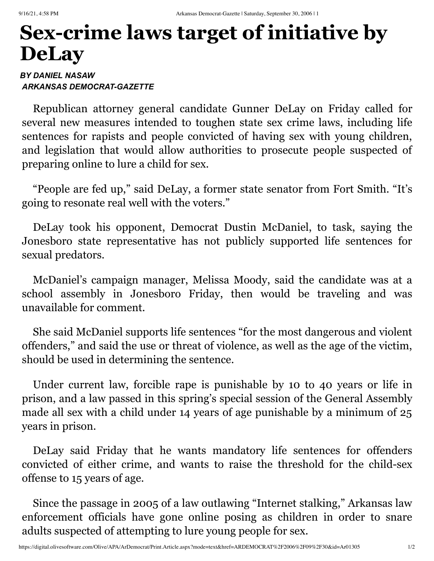## **Sex-crime laws target of initiative by DeLay**

## *BY DANIEL NASAW ARKANSAS DEMOCRAT-GAZETTE*

Republican attorney general candidate Gunner DeLay on Friday called for several new measures intended to toughen state sex crime laws, including life sentences for rapists and people convicted of having sex with young children, and legislation that would allow authorities to prosecute people suspected of preparing online to lure a child for sex.

"People are fed up," said DeLay, a former state senator from Fort Smith. "It's going to resonate real well with the voters."

DeLay took his opponent, Democrat Dustin McDaniel, to task, saying the Jonesboro state representative has not publicly supported life sentences for sexual predators.

McDaniel's campaign manager, Melissa Moody, said the candidate was at a school assembly in Jonesboro Friday, then would be traveling and was unavailable for comment.

She said McDaniel supports life sentences "for the most dangerous and violent offenders," and said the use or threat of violence, as well as the age of the victim, should be used in determining the sentence.

Under current law, forcible rape is punishable by 10 to 40 years or life in prison, and a law passed in this spring's special session of the General Assembly made all sex with a child under 14 years of age punishable by a minimum of 25 years in prison.

DeLay said Friday that he wants mandatory life sentences for offenders convicted of either crime, and wants to raise the threshold for the child-sex offense to 15 years of age.

Since the passage in 2005 of a law outlawing "Internet stalking," Arkansas law enforcement officials have gone online posing as children in order to snare adults suspected of attempting to lure young people for sex.